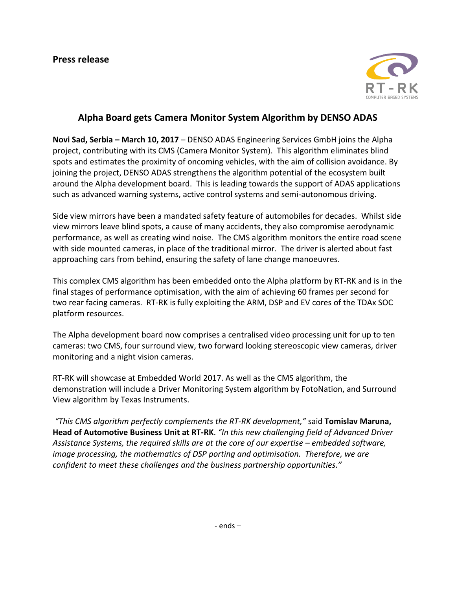

## **Alpha Board gets Camera Monitor System Algorithm by DENSO ADAS**

**Novi Sad, Serbia – March 10, 2017** – DENSO ADAS Engineering Services GmbH joins the Alpha project, contributing with its CMS (Camera Monitor System). This algorithm eliminates blind spots and estimates the proximity of oncoming vehicles, with the aim of collision avoidance. By joining the project, DENSO ADAS strengthens the algorithm potential of the ecosystem built around the Alpha development board. This is leading towards the support of ADAS applications such as advanced warning systems, active control systems and semi-autonomous driving.

Side view mirrors have been a mandated safety feature of automobiles for decades. Whilst side view mirrors leave blind spots, a cause of many accidents, they also compromise aerodynamic performance, as well as creating wind noise. The CMS algorithm monitors the entire road scene with side mounted cameras, in place of the traditional mirror. The driver is alerted about fast approaching cars from behind, ensuring the safety of lane change manoeuvres.

This complex CMS algorithm has been embedded onto the Alpha platform by RT-RK and is in the final stages of performance optimisation, with the aim of achieving 60 frames per second for two rear facing cameras. RT-RK is fully exploiting the ARM, DSP and EV cores of the TDAx SOC platform resources.

The Alpha development board now comprises a centralised video processing unit for up to ten cameras: two CMS, four surround view, two forward looking stereoscopic view cameras, driver monitoring and a night vision cameras.

RT-RK will showcase at Embedded World 2017. As well as the CMS algorithm, the demonstration will include a Driver Monitoring System algorithm by FotoNation, and Surround View algorithm by Texas Instruments.

*"This CMS algorithm perfectly complements the RT-RK development,"* said **Tomislav Maruna, Head of Automotive Business Unit at RT-RK**. *"In this new challenging field of Advanced Driver*  Assistance Systems, the required skills are at the core of our expertise – embedded software, *image processing, the mathematics of DSP porting and optimisation. Therefore, we are confident to meet these challenges and the business partnership opportunities."*